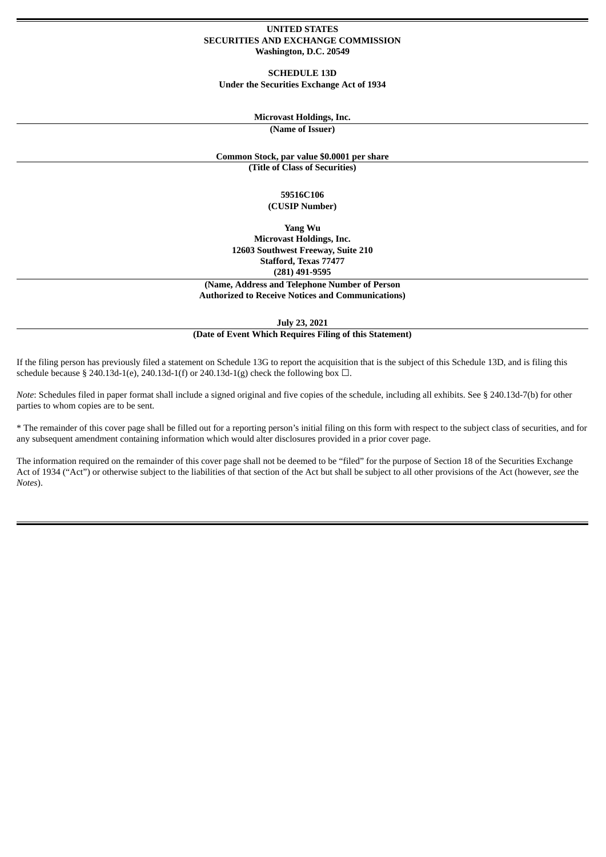#### **UNITED STATES SECURITIES AND EXCHANGE COMMISSION Washington, D.C. 20549**

**SCHEDULE 13D Under the Securities Exchange Act of 1934**

### **Microvast Holdings, Inc.**

**(Name of Issuer)**

### **Common Stock, par value \$0.0001 per share**

**(Title of Class of Securities)**

#### **59516C106 (CUSIP Number)**

**Yang Wu Microvast Holdings, Inc. 12603 Southwest Freeway, Suite 210 Stafford, Texas 77477 (281) 491-9595**

**(Name, Address and Telephone Number of Person Authorized to Receive Notices and Communications)**

**July 23, 2021 (Date of Event Which Requires Filing of this Statement)**

If the filing person has previously filed a statement on Schedule 13G to report the acquisition that is the subject of this Schedule 13D, and is filing this schedule because § 240.13d-1(e), 240.13d-1(f) or 240.13d-1(g) check the following box  $\Box$ .

*Note*: Schedules filed in paper format shall include a signed original and five copies of the schedule, including all exhibits. See § 240.13d-7(b) for other parties to whom copies are to be sent.

\* The remainder of this cover page shall be filled out for a reporting person's initial filing on this form with respect to the subject class of securities, and for any subsequent amendment containing information which would alter disclosures provided in a prior cover page.

The information required on the remainder of this cover page shall not be deemed to be "filed" for the purpose of Section 18 of the Securities Exchange Act of 1934 ("Act") or otherwise subject to the liabilities of that section of the Act but shall be subject to all other provisions of the Act (however, *see* the *Notes*).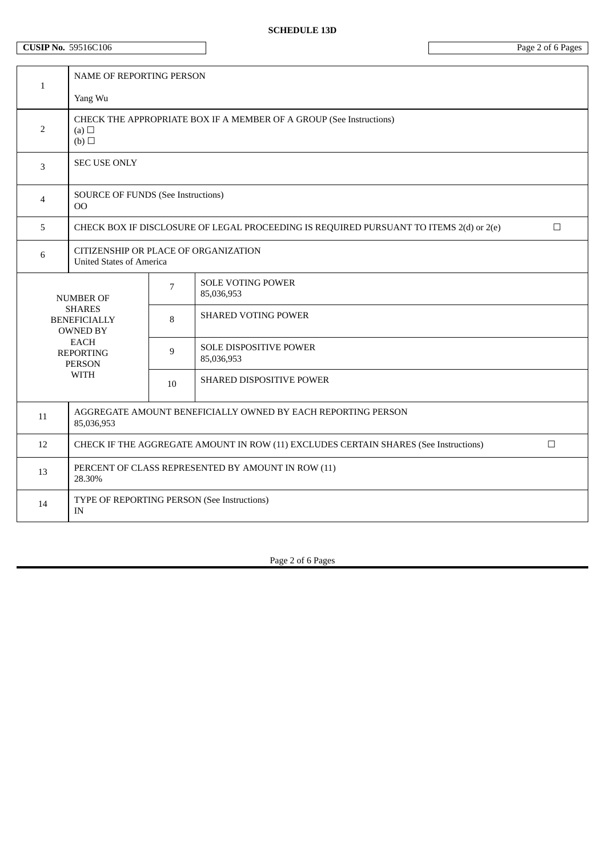# **SCHEDULE 13D**

# **CUSIP** No. 59516C106 Page 2 of 6 Pages

| $\mathbf{1}$                                                                                                                            | NAME OF REPORTING PERSON                                                                         |                |                                             |  |  |
|-----------------------------------------------------------------------------------------------------------------------------------------|--------------------------------------------------------------------------------------------------|----------------|---------------------------------------------|--|--|
|                                                                                                                                         | Yang Wu                                                                                          |                |                                             |  |  |
| 2                                                                                                                                       | CHECK THE APPROPRIATE BOX IF A MEMBER OF A GROUP (See Instructions)<br>(a) $\Box$<br>(b)         |                |                                             |  |  |
| $\overline{3}$                                                                                                                          | <b>SEC USE ONLY</b>                                                                              |                |                                             |  |  |
| 4                                                                                                                                       | <b>SOURCE OF FUNDS (See Instructions)</b><br>OO                                                  |                |                                             |  |  |
| 5                                                                                                                                       | CHECK BOX IF DISCLOSURE OF LEGAL PROCEEDING IS REQUIRED PURSUANT TO ITEMS 2(d) or 2(e)<br>$\Box$ |                |                                             |  |  |
| 6                                                                                                                                       | CITIZENSHIP OR PLACE OF ORGANIZATION<br><b>United States of America</b>                          |                |                                             |  |  |
| <b>NUMBER OF</b><br><b>SHARES</b><br><b>BENEFICIALLY</b><br><b>OWNED BY</b><br>EACH<br><b>REPORTING</b><br><b>PERSON</b><br><b>WITH</b> |                                                                                                  | $\overline{7}$ | <b>SOLE VOTING POWER</b><br>85,036,953      |  |  |
|                                                                                                                                         |                                                                                                  | 8              | <b>SHARED VOTING POWER</b>                  |  |  |
|                                                                                                                                         |                                                                                                  | 9              | <b>SOLE DISPOSITIVE POWER</b><br>85,036,953 |  |  |
|                                                                                                                                         |                                                                                                  | $10\,$         | SHARED DISPOSITIVE POWER                    |  |  |
| 11                                                                                                                                      | AGGREGATE AMOUNT BENEFICIALLY OWNED BY EACH REPORTING PERSON<br>85,036,953                       |                |                                             |  |  |
| 12                                                                                                                                      | CHECK IF THE AGGREGATE AMOUNT IN ROW (11) EXCLUDES CERTAIN SHARES (See Instructions)<br>$\Box$   |                |                                             |  |  |
| 13                                                                                                                                      | PERCENT OF CLASS REPRESENTED BY AMOUNT IN ROW (11)<br>28.30%                                     |                |                                             |  |  |
| 14                                                                                                                                      | TYPE OF REPORTING PERSON (See Instructions)<br>IN                                                |                |                                             |  |  |

Page 2 of 6 Pages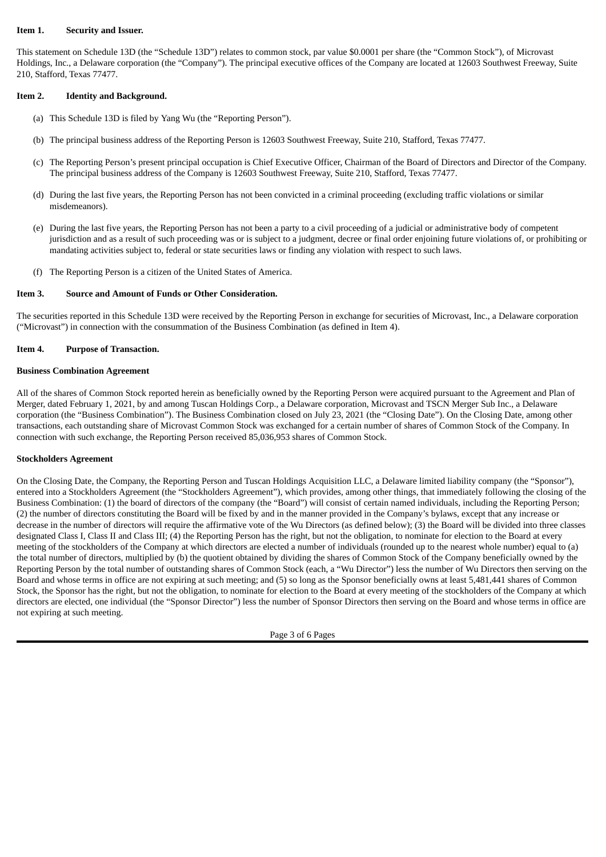#### **Item 1. Security and Issuer.**

This statement on Schedule 13D (the "Schedule 13D") relates to common stock, par value \$0.0001 per share (the "Common Stock"), of Microvast Holdings, Inc., a Delaware corporation (the "Company"). The principal executive offices of the Company are located at 12603 Southwest Freeway, Suite 210, Stafford, Texas 77477.

### **Item 2. Identity and Background.**

- (a) This Schedule 13D is filed by Yang Wu (the "Reporting Person").
- (b) The principal business address of the Reporting Person is 12603 Southwest Freeway, Suite 210, Stafford, Texas 77477.
- (c) The Reporting Person's present principal occupation is Chief Executive Officer, Chairman of the Board of Directors and Director of the Company. The principal business address of the Company is 12603 Southwest Freeway, Suite 210, Stafford, Texas 77477.
- (d) During the last five years, the Reporting Person has not been convicted in a criminal proceeding (excluding traffic violations or similar misdemeanors).
- (e) During the last five years, the Reporting Person has not been a party to a civil proceeding of a judicial or administrative body of competent jurisdiction and as a result of such proceeding was or is subject to a judgment, decree or final order enjoining future violations of, or prohibiting or mandating activities subject to, federal or state securities laws or finding any violation with respect to such laws.
- (f) The Reporting Person is a citizen of the United States of America.

#### **Item 3. Source and Amount of Funds or Other Consideration.**

The securities reported in this Schedule 13D were received by the Reporting Person in exchange for securities of Microvast, Inc., a Delaware corporation ("Microvast") in connection with the consummation of the Business Combination (as defined in Item 4).

### **Item 4. Purpose of Transaction.**

#### **Business Combination Agreement**

All of the shares of Common Stock reported herein as beneficially owned by the Reporting Person were acquired pursuant to the Agreement and Plan of Merger, dated February 1, 2021, by and among Tuscan Holdings Corp., a Delaware corporation, Microvast and TSCN Merger Sub Inc., a Delaware corporation (the "Business Combination"). The Business Combination closed on July 23, 2021 (the "Closing Date"). On the Closing Date, among other transactions, each outstanding share of Microvast Common Stock was exchanged for a certain number of shares of Common Stock of the Company. In connection with such exchange, the Reporting Person received 85,036,953 shares of Common Stock.

### **Stockholders Agreement**

On the Closing Date, the Company, the Reporting Person and Tuscan Holdings Acquisition LLC, a Delaware limited liability company (the "Sponsor"), entered into a Stockholders Agreement (the "Stockholders Agreement"), which provides, among other things, that immediately following the closing of the Business Combination: (1) the board of directors of the company (the "Board") will consist of certain named individuals, including the Reporting Person; (2) the number of directors constituting the Board will be fixed by and in the manner provided in the Company's bylaws, except that any increase or decrease in the number of directors will require the affirmative vote of the Wu Directors (as defined below); (3) the Board will be divided into three classes designated Class I, Class II and Class III; (4) the Reporting Person has the right, but not the obligation, to nominate for election to the Board at every meeting of the stockholders of the Company at which directors are elected a number of individuals (rounded up to the nearest whole number) equal to (a) the total number of directors, multiplied by (b) the quotient obtained by dividing the shares of Common Stock of the Company beneficially owned by the Reporting Person by the total number of outstanding shares of Common Stock (each, a "Wu Director") less the number of Wu Directors then serving on the Board and whose terms in office are not expiring at such meeting; and (5) so long as the Sponsor beneficially owns at least 5,481,441 shares of Common Stock, the Sponsor has the right, but not the obligation, to nominate for election to the Board at every meeting of the stockholders of the Company at which directors are elected, one individual (the "Sponsor Director") less the number of Sponsor Directors then serving on the Board and whose terms in office are not expiring at such meeting.

Page 3 of 6 Pages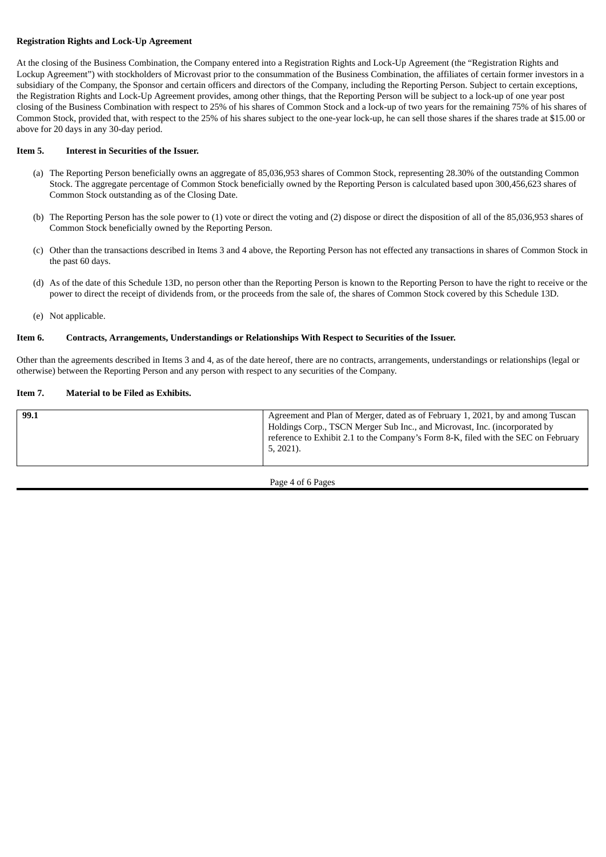## **Registration Rights and Lock-Up Agreement**

At the closing of the Business Combination, the Company entered into a Registration Rights and Lock-Up Agreement (the "Registration Rights and Lockup Agreement") with stockholders of Microvast prior to the consummation of the Business Combination, the affiliates of certain former investors in a subsidiary of the Company, the Sponsor and certain officers and directors of the Company, including the Reporting Person. Subject to certain exceptions, the Registration Rights and Lock-Up Agreement provides, among other things, that the Reporting Person will be subject to a lock-up of one year post closing of the Business Combination with respect to 25% of his shares of Common Stock and a lock-up of two years for the remaining 75% of his shares of Common Stock, provided that, with respect to the 25% of his shares subject to the one-year lock-up, he can sell those shares if the shares trade at \$15.00 or above for 20 days in any 30-day period.

### **Item 5. Interest in Securities of the Issuer.**

- (a) The Reporting Person beneficially owns an aggregate of 85,036,953 shares of Common Stock, representing 28.30% of the outstanding Common Stock. The aggregate percentage of Common Stock beneficially owned by the Reporting Person is calculated based upon 300,456,623 shares of Common Stock outstanding as of the Closing Date.
- (b) The Reporting Person has the sole power to (1) vote or direct the voting and (2) dispose or direct the disposition of all of the 85,036,953 shares of Common Stock beneficially owned by the Reporting Person.
- (c) Other than the transactions described in Items 3 and 4 above, the Reporting Person has not effected any transactions in shares of Common Stock in the past 60 days.
- (d) As of the date of this Schedule 13D, no person other than the Reporting Person is known to the Reporting Person to have the right to receive or the power to direct the receipt of dividends from, or the proceeds from the sale of, the shares of Common Stock covered by this Schedule 13D.
- (e) Not applicable.

## **Item 6. Contracts, Arrangements, Understandings or Relationships With Respect to Securities of the Issuer.**

Other than the agreements described in Items 3 and 4, as of the date hereof, there are no contracts, arrangements, understandings or relationships (legal or otherwise) between the Reporting Person and any person with respect to any securities of the Company.

# **Item 7. Material to be Filed as Exhibits.**

|  |  | Holdings Corp., TSCN Merger Sub Inc., and Microvast, Inc. (incorporated by<br>reference to Exhibit 2.1 to the Company's Form 8-K, filed with the SEC on February<br>5, 2021). |
|--|--|-------------------------------------------------------------------------------------------------------------------------------------------------------------------------------|
|--|--|-------------------------------------------------------------------------------------------------------------------------------------------------------------------------------|

Page 4 of 6 Pages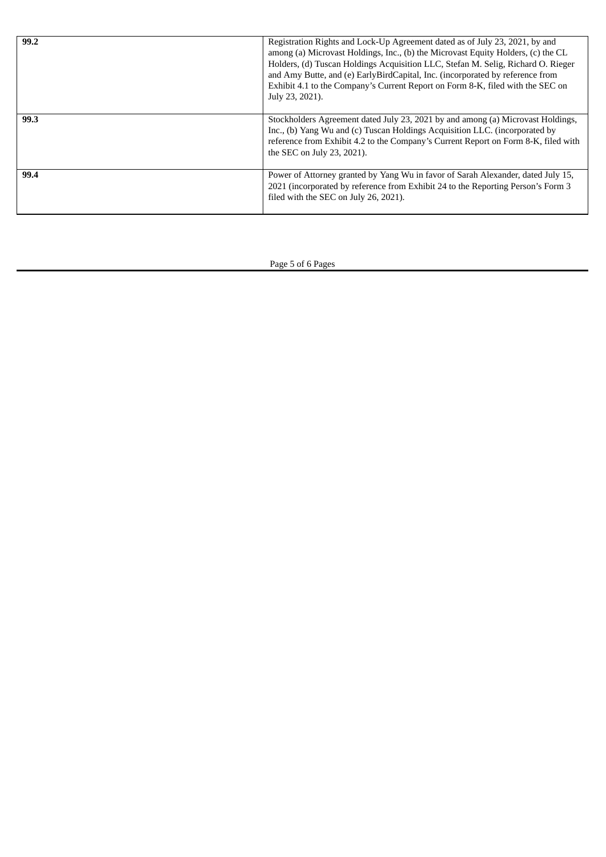| 99.2 | Registration Rights and Lock-Up Agreement dated as of July 23, 2021, by and<br>among (a) Microvast Holdings, Inc., (b) the Microvast Equity Holders, (c) the CL<br>Holders, (d) Tuscan Holdings Acquisition LLC, Stefan M. Selig, Richard O. Rieger<br>and Amy Butte, and (e) EarlyBirdCapital, Inc. (incorporated by reference from<br>Exhibit 4.1 to the Company's Current Report on Form 8-K, filed with the SEC on<br>July 23, 2021). |
|------|-------------------------------------------------------------------------------------------------------------------------------------------------------------------------------------------------------------------------------------------------------------------------------------------------------------------------------------------------------------------------------------------------------------------------------------------|
| 99.3 | Stockholders Agreement dated July 23, 2021 by and among (a) Microvast Holdings,<br>Inc., (b) Yang Wu and (c) Tuscan Holdings Acquisition LLC. (incorporated by<br>reference from Exhibit 4.2 to the Company's Current Report on Form 8-K, filed with<br>the SEC on July 23, 2021).                                                                                                                                                        |
| 99.4 | Power of Attorney granted by Yang Wu in favor of Sarah Alexander, dated July 15,<br>2021 (incorporated by reference from Exhibit 24 to the Reporting Person's Form 3<br>filed with the SEC on July 26, 2021).                                                                                                                                                                                                                             |

Page 5 of 6 Pages